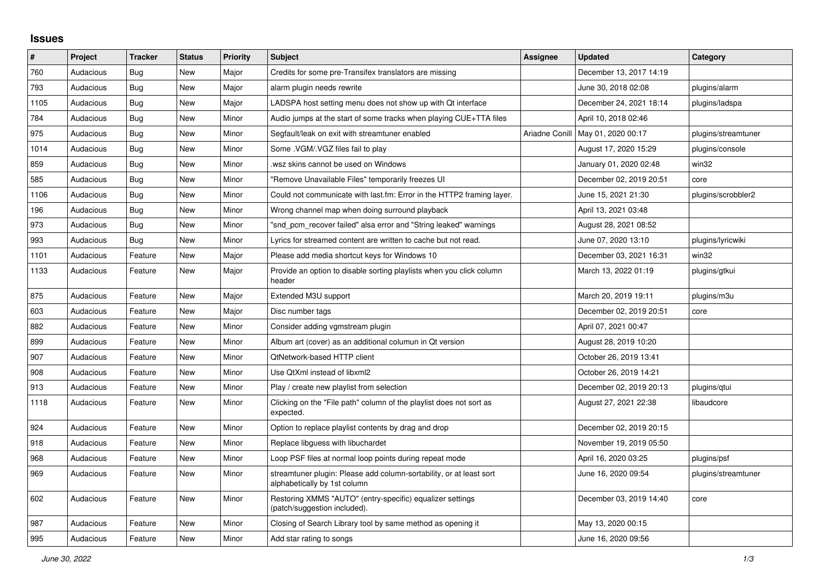## **Issues**

| ∦    | Project   | <b>Tracker</b> | <b>Status</b> | <b>Priority</b> | <b>Subject</b>                                                                                      | Assignee       | <b>Updated</b>          | Category            |
|------|-----------|----------------|---------------|-----------------|-----------------------------------------------------------------------------------------------------|----------------|-------------------------|---------------------|
| 760  | Audacious | <b>Bug</b>     | <b>New</b>    | Major           | Credits for some pre-Transifex translators are missing                                              |                | December 13, 2017 14:19 |                     |
| 793  | Audacious | Bug            | New           | Major           | alarm plugin needs rewrite                                                                          |                | June 30, 2018 02:08     | plugins/alarm       |
| 1105 | Audacious | Bug            | <b>New</b>    | Major           | LADSPA host setting menu does not show up with Qt interface                                         |                | December 24, 2021 18:14 | plugins/ladspa      |
| 784  | Audacious | <b>Bug</b>     | <b>New</b>    | Minor           | Audio jumps at the start of some tracks when playing CUE+TTA files                                  |                | April 10, 2018 02:46    |                     |
| 975  | Audacious | <b>Bug</b>     | <b>New</b>    | Minor           | Segfault/leak on exit with streamtuner enabled                                                      | Ariadne Conill | May 01, 2020 00:17      | plugins/streamtuner |
| 1014 | Audacious | <b>Bug</b>     | <b>New</b>    | Minor           | Some .VGM/.VGZ files fail to play                                                                   |                | August 17, 2020 15:29   | plugins/console     |
| 859  | Audacious | Bug            | New           | Minor           | wsz skins cannot be used on Windows.                                                                |                | January 01, 2020 02:48  | win32               |
| 585  | Audacious | Bug            | <b>New</b>    | Minor           | "Remove Unavailable Files" temporarily freezes UI                                                   |                | December 02, 2019 20:51 | core                |
| 1106 | Audacious | Bug            | <b>New</b>    | Minor           | Could not communicate with last.fm: Error in the HTTP2 framing layer.                               |                | June 15, 2021 21:30     | plugins/scrobbler2  |
| 196  | Audacious | <b>Bug</b>     | <b>New</b>    | Minor           | Wrong channel map when doing surround playback                                                      |                | April 13, 2021 03:48    |                     |
| 973  | Audacious | Bug            | <b>New</b>    | Minor           | "snd pcm recover failed" alsa error and "String leaked" warnings                                    |                | August 28, 2021 08:52   |                     |
| 993  | Audacious | Bug            | <b>New</b>    | Minor           | Lyrics for streamed content are written to cache but not read.                                      |                | June 07, 2020 13:10     | plugins/lyricwiki   |
| 1101 | Audacious | Feature        | New           | Major           | Please add media shortcut keys for Windows 10                                                       |                | December 03, 2021 16:31 | win32               |
| 1133 | Audacious | Feature        | <b>New</b>    | Major           | Provide an option to disable sorting playlists when you click column<br>header                      |                | March 13, 2022 01:19    | plugins/gtkui       |
| 875  | Audacious | Feature        | New           | Major           | Extended M3U support                                                                                |                | March 20, 2019 19:11    | plugins/m3u         |
| 603  | Audacious | Feature        | <b>New</b>    | Major           | Disc number tags                                                                                    |                | December 02, 2019 20:51 | core                |
| 882  | Audacious | Feature        | <b>New</b>    | Minor           | Consider adding vgmstream plugin                                                                    |                | April 07, 2021 00:47    |                     |
| 899  | Audacious | Feature        | <b>New</b>    | Minor           | Album art (cover) as an additional columun in Qt version                                            |                | August 28, 2019 10:20   |                     |
| 907  | Audacious | Feature        | <b>New</b>    | Minor           | <b>QtNetwork-based HTTP client</b>                                                                  |                | October 26, 2019 13:41  |                     |
| 908  | Audacious | Feature        | <b>New</b>    | Minor           | Use QtXml instead of libxml2                                                                        |                | October 26, 2019 14:21  |                     |
| 913  | Audacious | Feature        | New           | Minor           | Play / create new playlist from selection                                                           |                | December 02, 2019 20:13 | plugins/gtui        |
| 1118 | Audacious | Feature        | <b>New</b>    | Minor           | Clicking on the "File path" column of the playlist does not sort as<br>expected.                    |                | August 27, 2021 22:38   | libaudcore          |
| 924  | Audacious | Feature        | <b>New</b>    | Minor           | Option to replace playlist contents by drag and drop                                                |                | December 02, 2019 20:15 |                     |
| 918  | Audacious | Feature        | <b>New</b>    | Minor           | Replace libguess with libuchardet                                                                   |                | November 19, 2019 05:50 |                     |
| 968  | Audacious | Feature        | <b>New</b>    | Minor           | Loop PSF files at normal loop points during repeat mode                                             |                | April 16, 2020 03:25    | plugins/psf         |
| 969  | Audacious | Feature        | New           | Minor           | streamtuner plugin: Please add column-sortability, or at least sort<br>alphabetically by 1st column |                | June 16, 2020 09:54     | plugins/streamtuner |
| 602  | Audacious | Feature        | <b>New</b>    | Minor           | Restoring XMMS "AUTO" (entry-specific) equalizer settings<br>(patch/suggestion included).           |                | December 03, 2019 14:40 | core                |
| 987  | Audacious | Feature        | <b>New</b>    | Minor           | Closing of Search Library tool by same method as opening it                                         |                | May 13, 2020 00:15      |                     |
| 995  | Audacious | Feature        | New           | Minor           | Add star rating to songs                                                                            |                | June 16, 2020 09:56     |                     |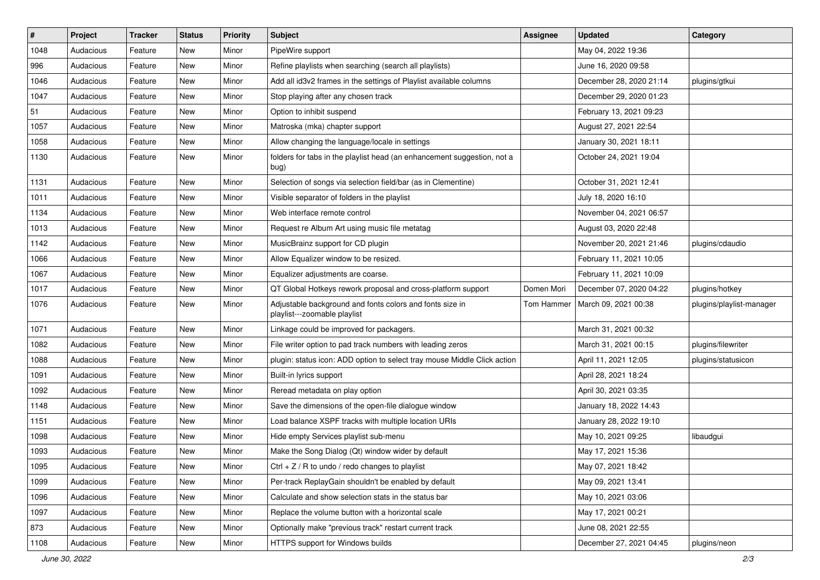| $\vert$ # | Project   | Tracker | <b>Status</b> | <b>Priority</b> | Subject                                                                                  | <b>Assignee</b> | <b>Updated</b>          | Category                 |
|-----------|-----------|---------|---------------|-----------------|------------------------------------------------------------------------------------------|-----------------|-------------------------|--------------------------|
| 1048      | Audacious | Feature | New           | Minor           | PipeWire support                                                                         |                 | May 04, 2022 19:36      |                          |
| 996       | Audacious | Feature | <b>New</b>    | Minor           | Refine playlists when searching (search all playlists)                                   |                 | June 16, 2020 09:58     |                          |
| 1046      | Audacious | Feature | New           | Minor           | Add all id3v2 frames in the settings of Playlist available columns                       |                 | December 28, 2020 21:14 | plugins/gtkui            |
| 1047      | Audacious | Feature | New           | Minor           | Stop playing after any chosen track                                                      |                 | December 29, 2020 01:23 |                          |
| 51        | Audacious | Feature | New           | Minor           | Option to inhibit suspend                                                                |                 | February 13, 2021 09:23 |                          |
| 1057      | Audacious | Feature | New           | Minor           | Matroska (mka) chapter support                                                           |                 | August 27, 2021 22:54   |                          |
| 1058      | Audacious | Feature | <b>New</b>    | Minor           | Allow changing the language/locale in settings                                           |                 | January 30, 2021 18:11  |                          |
| 1130      | Audacious | Feature | New           | Minor           | folders for tabs in the playlist head (an enhancement suggestion, not a<br>bug)          |                 | October 24, 2021 19:04  |                          |
| 1131      | Audacious | Feature | <b>New</b>    | Minor           | Selection of songs via selection field/bar (as in Clementine)                            |                 | October 31, 2021 12:41  |                          |
| 1011      | Audacious | Feature | New           | Minor           | Visible separator of folders in the playlist                                             |                 | July 18, 2020 16:10     |                          |
| 1134      | Audacious | Feature | New           | Minor           | Web interface remote control                                                             |                 | November 04, 2021 06:57 |                          |
| 1013      | Audacious | Feature | New           | Minor           | Request re Album Art using music file metatag                                            |                 | August 03, 2020 22:48   |                          |
| 1142      | Audacious | Feature | New           | Minor           | MusicBrainz support for CD plugin                                                        |                 | November 20, 2021 21:46 | plugins/cdaudio          |
| 1066      | Audacious | Feature | New           | Minor           | Allow Equalizer window to be resized.                                                    |                 | February 11, 2021 10:05 |                          |
| 1067      | Audacious | Feature | New           | Minor           | Equalizer adjustments are coarse.                                                        |                 | February 11, 2021 10:09 |                          |
| 1017      | Audacious | Feature | New           | Minor           | QT Global Hotkeys rework proposal and cross-platform support                             | Domen Mori      | December 07, 2020 04:22 | plugins/hotkey           |
| 1076      | Audacious | Feature | New           | Minor           | Adjustable background and fonts colors and fonts size in<br>playlist---zoomable playlist | Tom Hammer      | March 09, 2021 00:38    | plugins/playlist-manager |
| 1071      | Audacious | Feature | <b>New</b>    | Minor           | Linkage could be improved for packagers.                                                 |                 | March 31, 2021 00:32    |                          |
| 1082      | Audacious | Feature | New           | Minor           | File writer option to pad track numbers with leading zeros                               |                 | March 31, 2021 00:15    | plugins/filewriter       |
| 1088      | Audacious | Feature | New           | Minor           | plugin: status icon: ADD option to select tray mouse Middle Click action                 |                 | April 11, 2021 12:05    | plugins/statusicon       |
| 1091      | Audacious | Feature | <b>New</b>    | Minor           | Built-in lyrics support                                                                  |                 | April 28, 2021 18:24    |                          |
| 1092      | Audacious | Feature | New           | Minor           | Reread metadata on play option                                                           |                 | April 30, 2021 03:35    |                          |
| 1148      | Audacious | Feature | New           | Minor           | Save the dimensions of the open-file dialogue window                                     |                 | January 18, 2022 14:43  |                          |
| 1151      | Audacious | Feature | New           | Minor           | Load balance XSPF tracks with multiple location URIs                                     |                 | January 28, 2022 19:10  |                          |
| 1098      | Audacious | Feature | New           | Minor           | Hide empty Services playlist sub-menu                                                    |                 | May 10, 2021 09:25      | libaudgui                |
| 1093      | Audacious | Feature | <b>New</b>    | Minor           | Make the Song Dialog (Qt) window wider by default                                        |                 | May 17, 2021 15:36      |                          |
| 1095      | Audacious | Feature | New           | Minor           | Ctrl + $Z$ / R to undo / redo changes to playlist                                        |                 | May 07, 2021 18:42      |                          |
| 1099      | Audacious | Feature | New           | Minor           | Per-track ReplayGain shouldn't be enabled by default                                     |                 | May 09, 2021 13:41      |                          |
| 1096      | Audacious | Feature | New           | Minor           | Calculate and show selection stats in the status bar                                     |                 | May 10, 2021 03:06      |                          |
| 1097      | Audacious | Feature | New           | Minor           | Replace the volume button with a horizontal scale                                        |                 | May 17, 2021 00:21      |                          |
| 873       | Audacious | Feature | New           | Minor           | Optionally make "previous track" restart current track                                   |                 | June 08, 2021 22:55     |                          |
| 1108      | Audacious | Feature | New           | Minor           | HTTPS support for Windows builds                                                         |                 | December 27, 2021 04:45 | plugins/neon             |